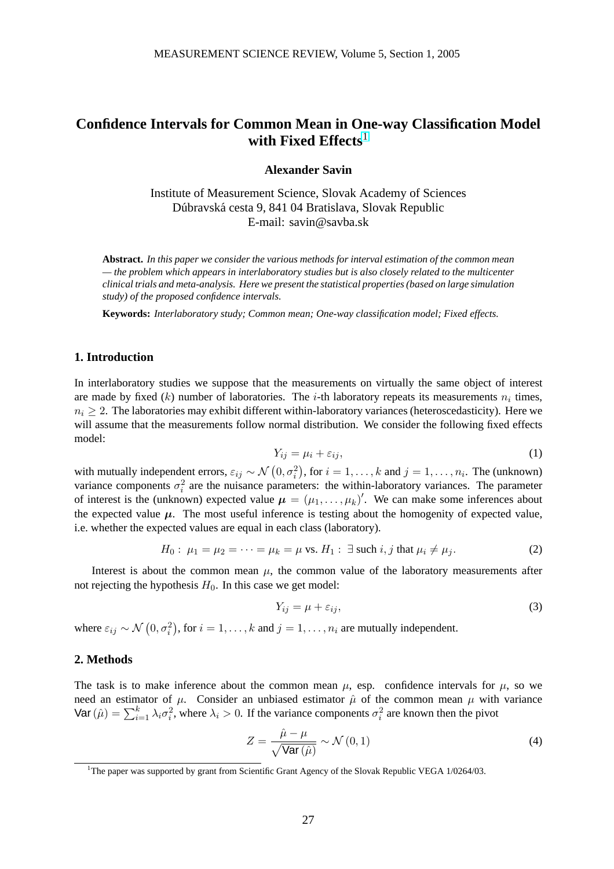# <span id="page-0-0"></span>**Confidence Intervals for Common Mean in One-way Classification Model with Fixed Effects**<sup>1</sup>

### **Alexander Savin**

Institute of Measurement Science, Slovak Academy of Sciences Dúbravská cesta 9, 841 04 Bratislava, Slovak Republic E-mail: savin@savba.sk

**Abstract.** *In this paper we consider the various methods for interval estimation of the common mean — the problem which appears in interlaboratory studies but is also closely related to the multicenter clinical trials and meta-analysis. Here we present the statistical properties (based on large simulation study) of the proposed confidence intervals.*

**Keywords:** *Interlaboratory study; Common mean; One-way classification model; Fixed effects.*

### **1. Introduction**

In interlaboratory studies we suppose that the measurements on virtually the same object of interest are made by fixed  $(k)$  number of laboratories. The *i*-th laboratory repeats its measurements  $n_i$  times,  $n_i \geq 2$ . The laboratories may exhibit different within-laboratory variances (heteroscedasticity). Here we will assume that the measurements follow normal distribution. We consider the following fixed effects model:

$$
Y_{ij} = \mu_i + \varepsilon_{ij},\tag{1}
$$

with mutually independent errors,  $\varepsilon_{ij} \sim \mathcal{N}\left(0, \sigma_i^2\right)$ , for  $i = 1, \ldots, k$  and  $j = 1, \ldots, n_i$ . The (unknown) variance components  $\sigma_i^2$  are the nuisance parameters: the within-laboratory variances. The parameter of interest is the (unknown) expected value  $\mu = (\mu_1, \dots, \mu_k)'$ . We can make some inferences about the expected value  $\mu$ . The most useful inference is testing about the homogenity of expected value, i.e. whether the expected values are equal in each class (laboratory).

$$
H_0: \mu_1 = \mu_2 = \dots = \mu_k = \mu \text{ vs. } H_1: \exists \text{ such } i, j \text{ that } \mu_i \neq \mu_j. \tag{2}
$$

Interest is about the common mean  $\mu$ , the common value of the laboratory measurements after not rejecting the hypothesis  $H_0$ . In this case we get model:

$$
Y_{ij} = \mu + \varepsilon_{ij},\tag{3}
$$

where  $\varepsilon_{ij} \sim \mathcal{N}\left(0, \sigma_i^2\right)$ ¢ , for  $i = 1, \ldots, k$  and  $j = 1, \ldots, n_i$  are mutually independent.

### **2. Methods**

The task is to make inference about the common mean  $\mu$ , esp. confidence intervals for  $\mu$ , so we need an estimator of  $\mu$ . Consider an unbiased estimator  $\hat{\mu}$  of the common mean  $\mu$  with variance Nevel an estimator of  $\mu$ . Consider an unbiased estimator  $\mu$  or the common mean  $\mu$  with<br>Var  $(\hat{\mu}) = \sum_{i=1}^{k} \lambda_i \sigma_i^2$ , where  $\lambda_i > 0$ . If the variance components  $\sigma_i^2$  are known then the pivot

$$
Z = \frac{\hat{\mu} - \mu}{\sqrt{\text{Var}\left(\hat{\mu}\right)}} \sim \mathcal{N}\left(0, 1\right) \tag{4}
$$

<sup>&</sup>lt;sup>1</sup>The paper was supported by grant from Scientific Grant Agency of the Slovak Republic VEGA 1/0264/03.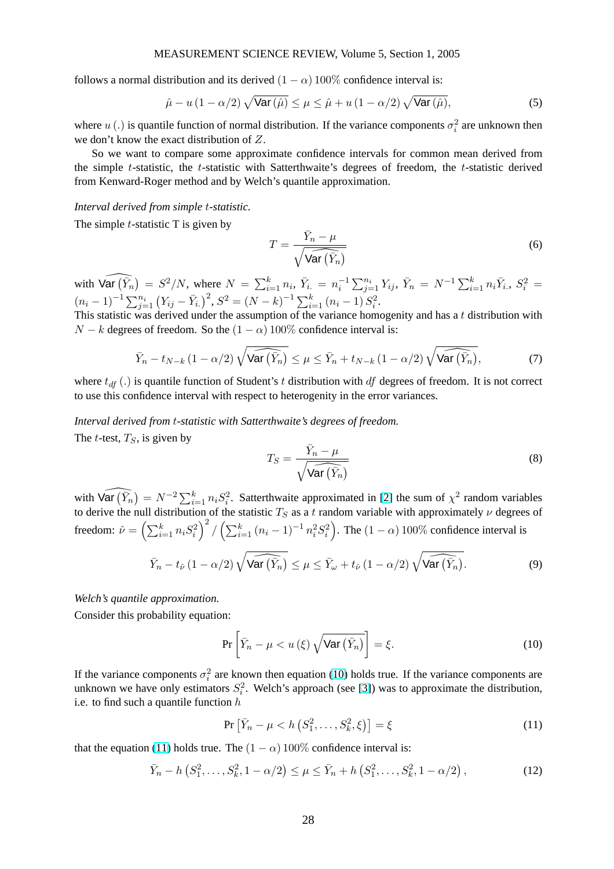#### MEASUREMENT SCIENCE REVIEW, Volume 5, Section 1, 2005

follows a normal distribution and its derived  $(1 - \alpha)$  100% confidence interval is:

$$
\hat{\mu} - u\left(1 - \alpha/2\right) \sqrt{\text{Var}\left(\hat{\mu}\right)} \le \mu \le \hat{\mu} + u\left(1 - \alpha/2\right) \sqrt{\text{Var}\left(\hat{\mu}\right)},\tag{5}
$$

where  $u(.)$  is quantile function of normal distribution. If the variance components  $\sigma_i^2$  are unknown then we don't know the exact distribution of Z.

So we want to compare some approximate confidence intervals for common mean derived from the simple  $t$ -statistic, the  $t$ -statistic with Satterthwaite's degrees of freedom, the  $t$ -statistic derived from Kenward-Roger method and by Welch's quantile approximation.

#### *Interval derived from simple* t*-statistic.*

The simple  $t$ -statistic T is given by

$$
T = \frac{\bar{Y}_n - \mu}{\sqrt{\widehat{\text{Var}\left(\bar{Y}_n\right)}}}
$$
(6)

with  $\widehat{\mathsf{Var}\left(\bar{Y}_n\right)}$ ¢  $= S^2/N$ , where  $N = \sum_{i=1}^k$  $\sum_{i=1}^k n_i, \ \bar{Y}_{i.} = n_i^{-1} \sum_{j=1}^{n_i} Y_{ij}, \ \bar{Y}_n = N^{-1} \sum_{i=1}^k n_i \bar{Y}_{i.}, \ S_i^2 =$  $(n_i - 1)^{-1} \sum_{j=1}^{n_i} (Y_{ij} - \bar{Y}_{i.})^2$ ,  $S^2 = (N - k)^{-1} \sum_{i=1}^{k_i}$  $_{i=1}^{k}$   $(n_i-1) S_i^2$ .

This statistic was derived under the assumption of the variance homogenity and has a  $t$  distribution with  $N - k$  degrees of freedom. So the  $(1 - \alpha)$  100% confidence interval is:

$$
\bar{Y}_n - t_{N-k} \left(1 - \alpha/2\right) \sqrt{\widehat{\text{Var}\left(\bar{Y}_n\right)}} \leq \mu \leq \bar{Y}_n + t_{N-k} \left(1 - \alpha/2\right) \sqrt{\widehat{\text{Var}\left(\bar{Y}_n\right)}},\tag{7}
$$

where  $t_{df}$  (.) is quantile function of Student's t distribution with df degrees of freedom. It is not correct to use this confidence interval with respect to heterogenity in the error variances.

#### *Interval derived from* t*-statistic with Satterthwaite's degrees of freedom.*

The *t*-test,  $T<sub>S</sub>$ , is given by

$$
T_S = \frac{\bar{Y}_n - \mu}{\sqrt{\widehat{\text{Var}(\bar{Y}_n)}}}
$$
(8)

with  $\widehat{\text{Var}\left(\bar{Y}_n\right)}$  $= N^{-2} \sum_{i=1}^{k} n_i S_i^2$ . Satterthwaite approximated in [2] the sum of  $\chi^2$  random variables to derive the null distribution of the statistic  $T_S$  as a t random variable with approximately  $\nu$  degrees of freedom:  $\hat{\nu} = \left(\sum_{i=1}^{k} \nu_{i}\right)$  $_{i=1}^{k} n_{i} S_{i}^{2}$ лı<br>\ 2  $\int \left(\sum_{i=1}^{k} k_i\right)$  $_{i=1}^{k} (n_i-1)^{-1} n_i^2 S_i^2$ ` . The  $(1 - \alpha)$  100% confidence interval is

$$
\bar{Y}_n - t_{\hat{\nu}} (1 - \alpha/2) \sqrt{\text{Var}(\bar{Y}_n)} \le \mu \le \bar{Y}_{\omega} + t_{\hat{\nu}} (1 - \alpha/2) \sqrt{\text{Var}(\bar{Y}_n)}.
$$
\n(9)

#### *Welch's quantile approximation.*

Consider this probability equation:

$$
\Pr\left[\bar{Y}_n - \mu < u\left(\xi\right) \sqrt{\text{Var}\left(\bar{Y}_n\right)}\right] = \xi. \tag{10}
$$

If the variance components  $\sigma_i^2$  are known then equation (10) holds true. If the variance components are unknown we have only estimators  $S_i^2$ . Welch's approach (see [3]) was to approximate the distribution, i.e. to find such a quantile function  $h$ 

$$
\Pr\left[\bar{Y}_n - \mu < h\left(S_1^2, \dots, S_k^2, \xi\right)\right] = \xi\tag{11}
$$

that the equation (11) holds true. The  $(1 - \alpha)$  100% confidence [in](#page-3-0)terval is:

$$
\bar{Y}_n - h\left(S_1^2, \dots, S_k^2, 1 - \alpha/2\right) \le \mu \le \bar{Y}_n + h\left(S_1^2, \dots, S_k^2, 1 - \alpha/2\right),\tag{12}
$$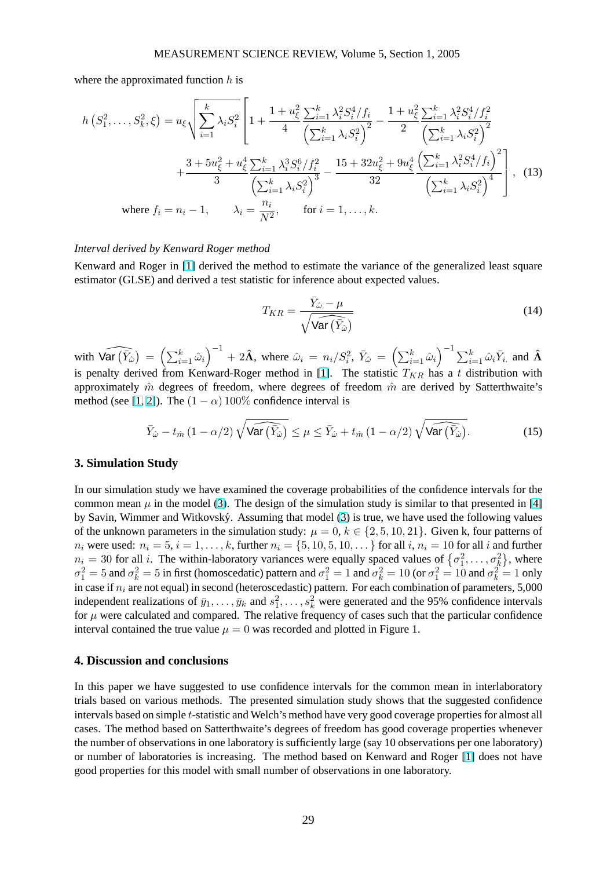$\overline{r}$ 

where the approximated function  $h$  is

$$
h(S_1^2, \ldots, S_k^2, \xi) = u_{\xi} \sqrt{\sum_{i=1}^k \lambda_i S_i^2} \left[ 1 + \frac{1 + u_{\xi}^2 \sum_{i=1}^k \lambda_i^2 S_i^4 / f_i}{4} - \frac{1 + u_{\xi}^2 \sum_{i=1}^k \lambda_i^2 S_i^4 / f_i^2}{\left(\sum_{i=1}^k \lambda_i S_i^2\right)^2} - \frac{1 + u_{\xi}^2 \sum_{i=1}^k \lambda_i^2 S_i^4 / f_i^2}{2} \right. \left. \left. \sum_{i=1}^k \lambda_i S_i^2 \right)^2 + \frac{3 + 5u_{\xi}^2 + u_{\xi}^4 \sum_{i=1}^k \lambda_i^3 S_i^6 / f_i^2}{3} - \frac{15 + 32u_{\xi}^2 + 9u_{\xi}^4 \left(\sum_{i=1}^k \lambda_i^2 S_i^4 / f_i\right)^2}{32} \right], \quad (13)
$$
\nwhere  $f_i = n_i - 1, \quad \lambda_i = \frac{n_i}{N^2}, \quad \text{for } i = 1, \ldots, k.$ 

#### *Interval derived by Kenward Roger method*

Kenward and Roger in [1] derived the method to estimate the variance of the generalized least square estimator (GLSE) and derived a test statistic for inference about expected values.

$$
T_{KR} = \frac{\bar{Y}_{\hat{\omega}} - \mu}{\sqrt{\widehat{\text{Var}\left(\bar{Y}_{\hat{\omega}}\right)}}}
$$
(14)

with  $\widehat{\text{Var}(\bar{Y}_{\hat{\omega}})}$ ¢  $= \left( \sum_{i=1}^{k} \right)$  $_{i=1}^{\kappa}$   $\hat{\omega}_i$  $\sqrt{-1}$ + 2 $\hat{\Lambda}$ , where  $\hat{\omega}_i = n_i/S_i^2$ ,  $\bar{Y}_{\hat{\omega}} = \left(\sum_{i=1}^k Y_i\right)$  $_{i=1}^{\kappa}$   $\hat{\omega}_i$  $\sum_{i=1}^{l} \hat{\omega}_i \bar{Y}_{i.}$  and  $\hat{\mathbf{\Lambda}}$ is penalty derived from Kenward-Roger method in [1]. The statistic  $T_{KR}$  has a t distribution with approximately  $\hat{m}$  degrees of freedom, where degrees of freedom  $\hat{m}$  are derived by Satterthwaite's method (see [1, 2]). The  $(1 - \alpha)$  100% confidence interval is

$$
\bar{Y}_{\hat{\omega}} - t_{\hat{m}} \left( 1 - \alpha/2 \right) \sqrt{\widehat{\text{Var}\left( \bar{Y}_{\hat{\omega}} \right)}} \leq \mu \leq \bar{Y}_{\hat{\omega}} + t_{\hat{m}} \left( 1 - \alpha/2 \right) \sqrt{\widehat{\text{Var}\left( \bar{Y}_{\hat{\omega}} \right)}}. \tag{15}
$$

### **3. Simulation Study**

In our simulation study we have examined the coverage probabilities of the confidence intervals for the common mean  $\mu$  in the model (3). The design of the simulation study is similar to that presented in [4] by Savin, Wimmer and Witkovský. Assuming that model (3) is true, we have used the following values of the unknown parameters in the simulation study:  $\mu = 0, k \in \{2, 5, 10, 21\}$ . Given k, four patterns of  $n_i$  were used:  $n_i = 5, i = 1, ..., k$ , further  $n_i = \{5, 10, 5, 10, ...\}$  for all  $i, n_i = 10$  for all  $i$  and further  $n_i$  w[ere](#page-3-0) used:  $n_i = 3$ ,  $i = 1, ..., k$ , further  $n_i = \{3, 10, 3, 10, ..., \}$  for all  $i$ ,  $n_i = 10$  for all  $i$  and further  $n_i = 30$  for all  $i$ . The within-l[ab](#page-0-0)oratory variances were equally spaced values of  $\{\sigma_1^2, ..., \sigma_k^2\}$ , whe  $\sigma_1^2 = 5$  and  $\sigma_k^2 = 5$  in first (homoscedatic) pattern and  $\sigma_1^2 = 1$  $\sigma_1^2 = 1$  and  $\sigma_k^2 = 10$  (or  $\sigma_1^2 = 10$  and  $\sigma_k^2 = 1$  only in case if  $n_i$  are not equal) in second (heteroscedastic) pattern. For each combination of parameters, 5,000 independent realizations of  $\bar{y}_1, \ldots, \bar{y}_k$  and  $s_1^2, \ldots, s_k^2$  were generated and the 95% confidence intervals for  $\mu$  were calculated and compared. The relative frequency of cases such that the particular confidence interval contained the true value  $\mu = 0$  was recorded and plotted in Figure 1.

### **4. Discussion and conclusions**

In this paper we have suggested to use confidence intervals for the common mean in interlaboratory trials based on various methods. The presented simulation study shows that the suggested confidence intervals based on simple t-statistic and Welch's method have very good coverage properties for almost all cases. The method based on Satterthwaite's degrees of freedom has good coverage properties whenever the number of observations in one laboratory is sufficiently large (say 10 observations per one laboratory) or number of laboratories is increasing. The method based on Kenward and Roger [1] does not have good properties for this model with small number of observations in one laboratory.